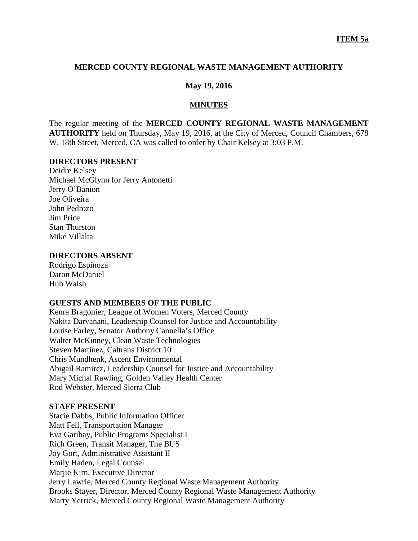### **MERCED COUNTY REGIONAL WASTE MANAGEMENT AUTHORITY**

### **May 19, 2016**

#### **MINUTES**

The regular meeting of the **MERCED COUNTY REGIONAL WASTE MANAGEMENT AUTHORITY** held on Thursday, May 19, 2016, at the City of Merced, Council Chambers, 678 W. 18th Street, Merced, CA was called to order by Chair Kelsey at 3:03 P.M.

#### **DIRECTORS PRESENT**

Deidre Kelsey Michael McGlynn for Jerry Antonetti Jerry O'Banion Joe Oliveira John Pedrozo Jim Price Stan Thurston Mike Villalta

### **DIRECTORS ABSENT**

Rodrigo Espinoza Daron McDaniel Hub Walsh

### **GUESTS AND MEMBERS OF THE PUBLIC**

Kenra Bragonier, League of Women Voters, Merced County Nakita Darvanani, Leadership Counsel for Justice and Accountability Louise Farley, Senator Anthony Cannella's Office Walter McKinney, Clean Waste Technologies Steven Martinez, Caltrans District 10 Chris Mundhenk, Ascent Environmental Abigail Ramirez, Leadership Counsel for Justice and Accountability Mary Michal Rawling, Golden Valley Health Center Rod Webster, Merced Sierra Club

### **STAFF PRESENT**

Stacie Dabbs, Public Information Officer Matt Fell, Transportation Manager Eva Garibay, Public Programs Specialist I Rich Green, Transit Manager, The BUS Joy Gort, Administrative Assistant II Emily Haden, Legal Counsel Marjie Kirn, Executive Director Jerry Lawrie, Merced County Regional Waste Management Authority Brooks Stayer, Director, Merced County Regional Waste Management Authority Marty Yerrick, Merced County Regional Waste Management Authority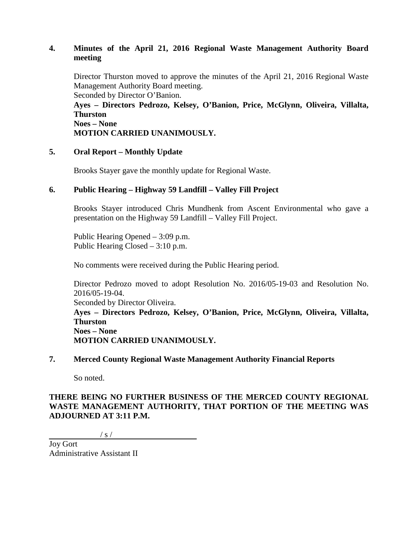# **4. Minutes of the April 21, 2016 Regional Waste Management Authority Board meeting**

Director Thurston moved to approve the minutes of the April 21, 2016 Regional Waste Management Authority Board meeting. Seconded by Director O'Banion.

**Ayes – Directors Pedrozo, Kelsey, O'Banion, Price, McGlynn, Oliveira, Villalta, Thurston Noes – None**

**MOTION CARRIED UNANIMOUSLY.**

# **5. Oral Report – Monthly Update**

Brooks Stayer gave the monthly update for Regional Waste.

# **6. Public Hearing – Highway 59 Landfill – Valley Fill Project**

Brooks Stayer introduced Chris Mundhenk from Ascent Environmental who gave a presentation on the Highway 59 Landfill – Valley Fill Project.

Public Hearing Opened – 3:09 p.m. Public Hearing Closed – 3:10 p.m.

No comments were received during the Public Hearing period.

Director Pedrozo moved to adopt Resolution No. 2016/05-19-03 and Resolution No. 2016/05-19-04.

Seconded by Director Oliveira.

**Ayes – Directors Pedrozo, Kelsey, O'Banion, Price, McGlynn, Oliveira, Villalta, Thurston Noes – None**

**MOTION CARRIED UNANIMOUSLY.**

### **7. Merced County Regional Waste Management Authority Financial Reports**

So noted.

# **THERE BEING NO FURTHER BUSINESS OF THE MERCED COUNTY REGIONAL WASTE MANAGEMENT AUTHORITY, THAT PORTION OF THE MEETING WAS ADJOURNED AT 3:11 P.M.**

 $/ s /$ 

Joy Gort Administrative Assistant II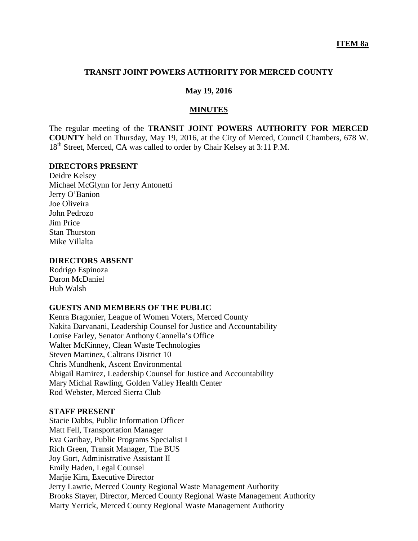### **TRANSIT JOINT POWERS AUTHORITY FOR MERCED COUNTY**

### **May 19, 2016**

#### **MINUTES**

The regular meeting of the **TRANSIT JOINT POWERS AUTHORITY FOR MERCED COUNTY** held on Thursday, May 19, 2016, at the City of Merced, Council Chambers, 678 W. 18<sup>th</sup> Street, Merced, CA was called to order by Chair Kelsey at 3:11 P.M.

#### **DIRECTORS PRESENT**

Deidre Kelsey Michael McGlynn for Jerry Antonetti Jerry O'Banion Joe Oliveira John Pedrozo Jim Price Stan Thurston Mike Villalta

### **DIRECTORS ABSENT**

Rodrigo Espinoza Daron McDaniel Hub Walsh

#### **GUESTS AND MEMBERS OF THE PUBLIC**

Kenra Bragonier, League of Women Voters, Merced County Nakita Darvanani, Leadership Counsel for Justice and Accountability Louise Farley, Senator Anthony Cannella's Office Walter McKinney, Clean Waste Technologies Steven Martinez, Caltrans District 10 Chris Mundhenk, Ascent Environmental Abigail Ramirez, Leadership Counsel for Justice and Accountability Mary Michal Rawling, Golden Valley Health Center Rod Webster, Merced Sierra Club

### **STAFF PRESENT**

Stacie Dabbs, Public Information Officer Matt Fell, Transportation Manager Eva Garibay, Public Programs Specialist I Rich Green, Transit Manager, The BUS Joy Gort, Administrative Assistant II Emily Haden, Legal Counsel Marjie Kirn, Executive Director Jerry Lawrie, Merced County Regional Waste Management Authority Brooks Stayer, Director, Merced County Regional Waste Management Authority Marty Yerrick, Merced County Regional Waste Management Authority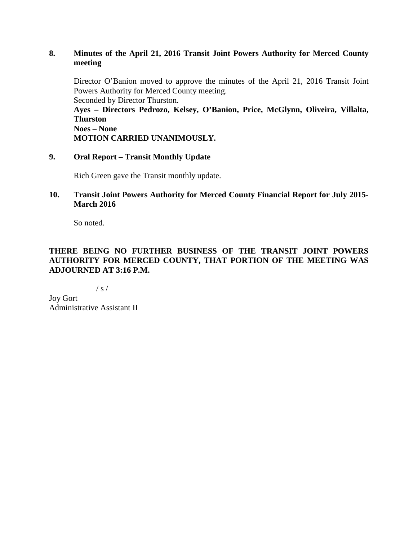# **8. Minutes of the April 21, 2016 Transit Joint Powers Authority for Merced County meeting**

Director O'Banion moved to approve the minutes of the April 21, 2016 Transit Joint Powers Authority for Merced County meeting. Seconded by Director Thurston.

**Ayes – Directors Pedrozo, Kelsey, O'Banion, Price, McGlynn, Oliveira, Villalta, Thurston Noes – None**

**MOTION CARRIED UNANIMOUSLY.**

# **9. Oral Report – Transit Monthly Update**

Rich Green gave the Transit monthly update.

# **10. Transit Joint Powers Authority for Merced County Financial Report for July 2015- March 2016**

So noted.

# **THERE BEING NO FURTHER BUSINESS OF THE TRANSIT JOINT POWERS AUTHORITY FOR MERCED COUNTY, THAT PORTION OF THE MEETING WAS ADJOURNED AT 3:16 P.M.**

 $/ s /$ 

Joy Gort Administrative Assistant II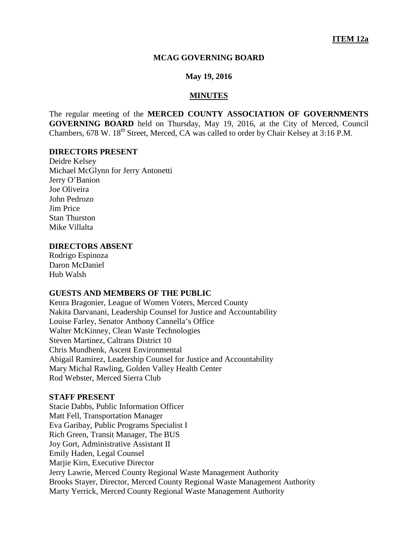#### **MCAG GOVERNING BOARD**

#### **May 19, 2016**

#### **MINUTES**

The regular meeting of the **MERCED COUNTY ASSOCIATION OF GOVERNMENTS GOVERNING BOARD** held on Thursday, May 19, 2016, at the City of Merced, Council Chambers, 678 W. 18<sup>th</sup> Street, Merced, CA was called to order by Chair Kelsey at 3:16 P.M.

#### **DIRECTORS PRESENT**

Deidre Kelsey Michael McGlynn for Jerry Antonetti Jerry O'Banion Joe Oliveira John Pedrozo Jim Price Stan Thurston Mike Villalta

#### **DIRECTORS ABSENT**

Rodrigo Espinoza Daron McDaniel Hub Walsh

#### **GUESTS AND MEMBERS OF THE PUBLIC**

Kenra Bragonier, League of Women Voters, Merced County Nakita Darvanani, Leadership Counsel for Justice and Accountability Louise Farley, Senator Anthony Cannella's Office Walter McKinney, Clean Waste Technologies Steven Martinez, Caltrans District 10 Chris Mundhenk, Ascent Environmental Abigail Ramirez, Leadership Counsel for Justice and Accountability Mary Michal Rawling, Golden Valley Health Center Rod Webster, Merced Sierra Club

### **STAFF PRESENT**

Stacie Dabbs, Public Information Officer Matt Fell, Transportation Manager Eva Garibay, Public Programs Specialist I Rich Green, Transit Manager, The BUS Joy Gort, Administrative Assistant II Emily Haden, Legal Counsel Marjie Kirn, Executive Director Jerry Lawrie, Merced County Regional Waste Management Authority Brooks Stayer, Director, Merced County Regional Waste Management Authority Marty Yerrick, Merced County Regional Waste Management Authority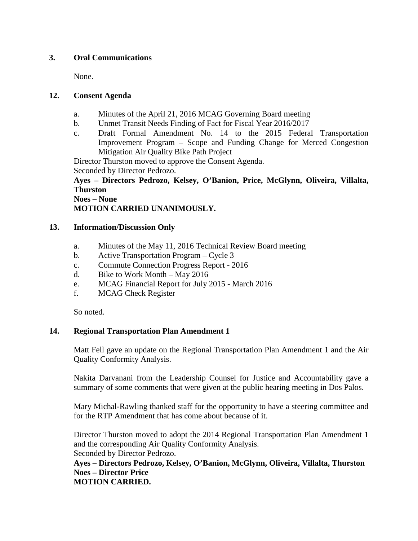# **3. Oral Communications**

None.

# **12. Consent Agenda**

- a. Minutes of the April 21, 2016 MCAG Governing Board meeting
- b. Unmet Transit Needs Finding of Fact for Fiscal Year 2016/2017
- c. Draft Formal Amendment No. 14 to the 2015 Federal Transportation Improvement Program – Scope and Funding Change for Merced Congestion Mitigation Air Quality Bike Path Project

Director Thurston moved to approve the Consent Agenda.

Seconded by Director Pedrozo.

# **Ayes – Directors Pedrozo, Kelsey, O'Banion, Price, McGlynn, Oliveira, Villalta, Thurston**

**Noes – None**

**MOTION CARRIED UNANIMOUSLY.**

# **13. Information/Discussion Only**

- a. Minutes of the May 11, 2016 Technical Review Board meeting
- b. Active Transportation Program Cycle 3
- c. Commute Connection Progress Report 2016
- d. Bike to Work Month May 2016
- e. MCAG Financial Report for July 2015 March 2016
- f. MCAG Check Register

So noted.

# **14. Regional Transportation Plan Amendment 1**

Matt Fell gave an update on the Regional Transportation Plan Amendment 1 and the Air Quality Conformity Analysis.

Nakita Darvanani from the Leadership Counsel for Justice and Accountability gave a summary of some comments that were given at the public hearing meeting in Dos Palos.

Mary Michal-Rawling thanked staff for the opportunity to have a steering committee and for the RTP Amendment that has come about because of it.

Director Thurston moved to adopt the 2014 Regional Transportation Plan Amendment 1 and the corresponding Air Quality Conformity Analysis. Seconded by Director Pedrozo.

**Ayes – Directors Pedrozo, Kelsey, O'Banion, McGlynn, Oliveira, Villalta, Thurston Noes – Director Price MOTION CARRIED.**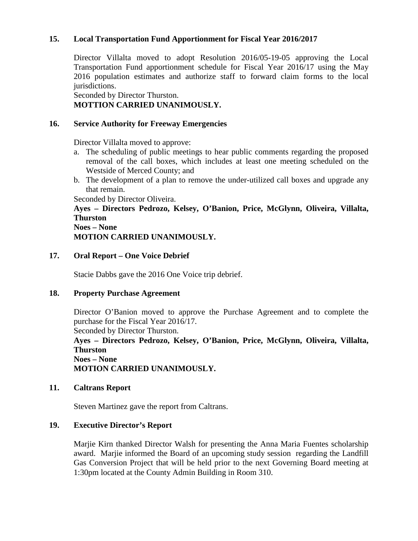# **15. Local Transportation Fund Apportionment for Fiscal Year 2016/2017**

Director Villalta moved to adopt Resolution 2016/05-19-05 approving the Local Transportation Fund apportionment schedule for Fiscal Year 2016/17 using the May 2016 population estimates and authorize staff to forward claim forms to the local jurisdictions.

Seconded by Director Thurston. **MOTTION CARRIED UNANIMOUSLY.**

### **16. Service Authority for Freeway Emergencies**

Director Villalta moved to approve:

- a. The scheduling of public meetings to hear public comments regarding the proposed removal of the call boxes, which includes at least one meeting scheduled on the Westside of Merced County; and
- b. The development of a plan to remove the under-utilized call boxes and upgrade any that remain.

Seconded by Director Oliveira.

**Ayes – Directors Pedrozo, Kelsey, O'Banion, Price, McGlynn, Oliveira, Villalta, Thurston**

**Noes – None MOTION CARRIED UNANIMOUSLY.**

### **17. Oral Report – One Voice Debrief**

Stacie Dabbs gave the 2016 One Voice trip debrief.

### **18. Property Purchase Agreement**

Director O'Banion moved to approve the Purchase Agreement and to complete the purchase for the Fiscal Year 2016/17. Seconded by Director Thurston. **Ayes – Directors Pedrozo, Kelsey, O'Banion, Price, McGlynn, Oliveira, Villalta, Thurston**

**Noes – None MOTION CARRIED UNANIMOUSLY.**

### **11. Caltrans Report**

Steven Martinez gave the report from Caltrans.

### **19. Executive Director's Report**

Marjie Kirn thanked Director Walsh for presenting the Anna Maria Fuentes scholarship award. Marjie informed the Board of an upcoming study session regarding the Landfill Gas Conversion Project that will be held prior to the next Governing Board meeting at 1:30pm located at the County Admin Building in Room 310.